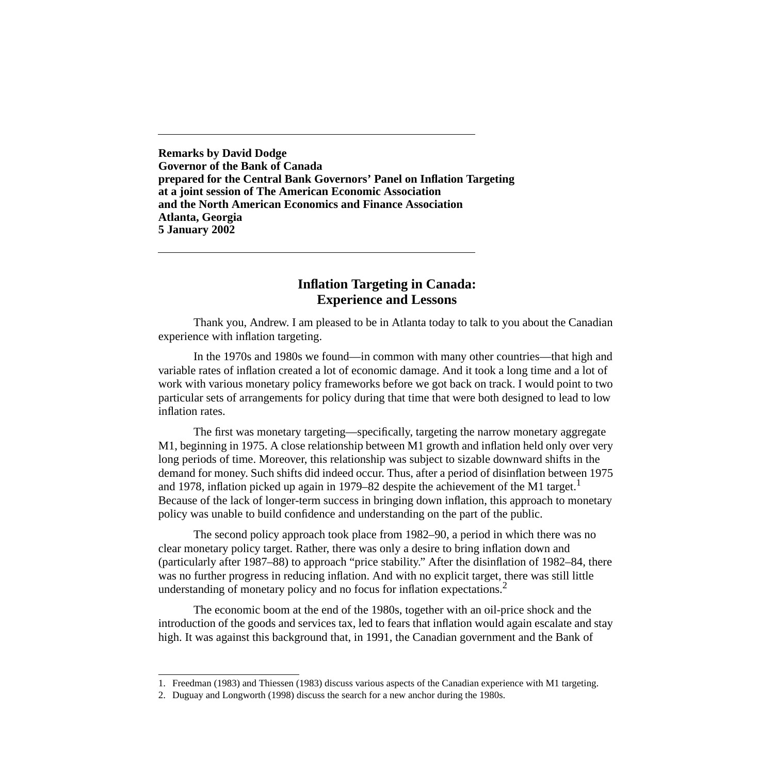**Remarks by David Dodge Governor of the Bank of Canada prepared for the Central Bank Governors' Panel on Inflation Targeting at a joint session of The American Economic Association and the North American Economics and Finance Association Atlanta, Georgia 5 January 2002**

# **Inflation Targeting in Canada: Experience and Lessons**

Thank you, Andrew. I am pleased to be in Atlanta today to talk to you about the Canadian experience with inflation targeting.

In the 1970s and 1980s we found—in common with many other countries—that high and variable rates of inflation created a lot of economic damage. And it took a long time and a lot of work with various monetary policy frameworks before we got back on track. I would point to two particular sets of arrangements for policy during that time that were both designed to lead to low inflation rates.

The first was monetary targeting—specifically, targeting the narrow monetary aggregate M1, beginning in 1975. A close relationship between M1 growth and inflation held only over very long periods of time. Moreover, this relationship was subject to sizable downward shifts in the demand for money. Such shifts did indeed occur. Thus, after a period of disinflation between 1975 and 1978, inflation picked up again in 1979–82 despite the achievement of the M1 target.<sup>1</sup> Because of the lack of longer-term success in bringing down inflation, this approach to monetary policy was unable to build confidence and understanding on the part of the public.

The second policy approach took place from 1982–90, a period in which there was no clear monetary policy target. Rather, there was only a desire to bring inflation down and (particularly after 1987–88) to approach "price stability." After the disinflation of 1982–84, there was no further progress in reducing inflation. And with no explicit target, there was still little understanding of monetary policy and no focus for inflation expectations.<sup>2</sup>

The economic boom at the end of the 1980s, together with an oil-price shock and the introduction of the goods and services tax, led to fears that inflation would again escalate and stay high. It was against this background that, in 1991, the Canadian government and the Bank of

<sup>1.</sup> Freedman (1983) and Thiessen (1983) discuss various aspects of the Canadian experience with M1 targeting.

<sup>2.</sup> Duguay and Longworth (1998) discuss the search for a new anchor during the 1980s.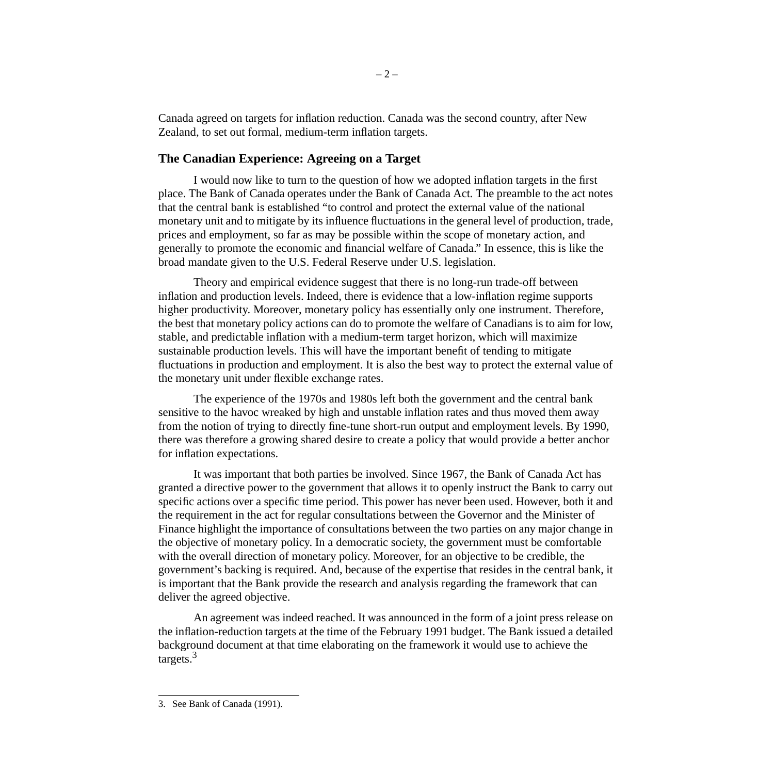Canada agreed on targets for inflation reduction. Canada was the second country, after New Zealand, to set out formal, medium-term inflation targets.

## **The Canadian Experience: Agreeing on a Target**

I would now like to turn to the question of how we adopted inflation targets in the first place. The Bank of Canada operates under the Bank of Canada Act*.* The preamble to the act notes that the central bank is established "to control and protect the external value of the national monetary unit and to mitigate by its influence fluctuations in the general level of production, trade, prices and employment, so far as may be possible within the scope of monetary action, and generally to promote the economic and financial welfare of Canada." In essence, this is like the broad mandate given to the U.S. Federal Reserve under U.S. legislation.

Theory and empirical evidence suggest that there is no long-run trade-off between inflation and production levels. Indeed, there is evidence that a low-inflation regime supports higher productivity. Moreover, monetary policy has essentially only one instrument. Therefore, the best that monetary policy actions can do to promote the welfare of Canadians is to aim for low, stable, and predictable inflation with a medium-term target horizon, which will maximize sustainable production levels. This will have the important benefit of tending to mitigate fluctuations in production and employment. It is also the best way to protect the external value of the monetary unit under flexible exchange rates.

The experience of the 1970s and 1980s left both the government and the central bank sensitive to the havoc wreaked by high and unstable inflation rates and thus moved them away from the notion of trying to directly fine-tune short-run output and employment levels. By 1990, there was therefore a growing shared desire to create a policy that would provide a better anchor for inflation expectations.

It was important that both parties be involved. Since 1967, the Bank of Canada Act has granted a directive power to the government that allows it to openly instruct the Bank to carry out specific actions over a specific time period. This power has never been used. However, both it and the requirement in the act for regular consultations between the Governor and the Minister of Finance highlight the importance of consultations between the two parties on any major change in the objective of monetary policy. In a democratic society, the government must be comfortable with the overall direction of monetary policy. Moreover, for an objective to be credible, the government's backing is required. And, because of the expertise that resides in the central bank, it is important that the Bank provide the research and analysis regarding the framework that can deliver the agreed objective.

An agreement was indeed reached. It was announced in the form of a joint press release on the inflation-reduction targets at the time of the February 1991 budget. The Bank issued a detailed background document at that time elaborating on the framework it would use to achieve the targets. $3$ 

<sup>3.</sup> See Bank of Canada (1991).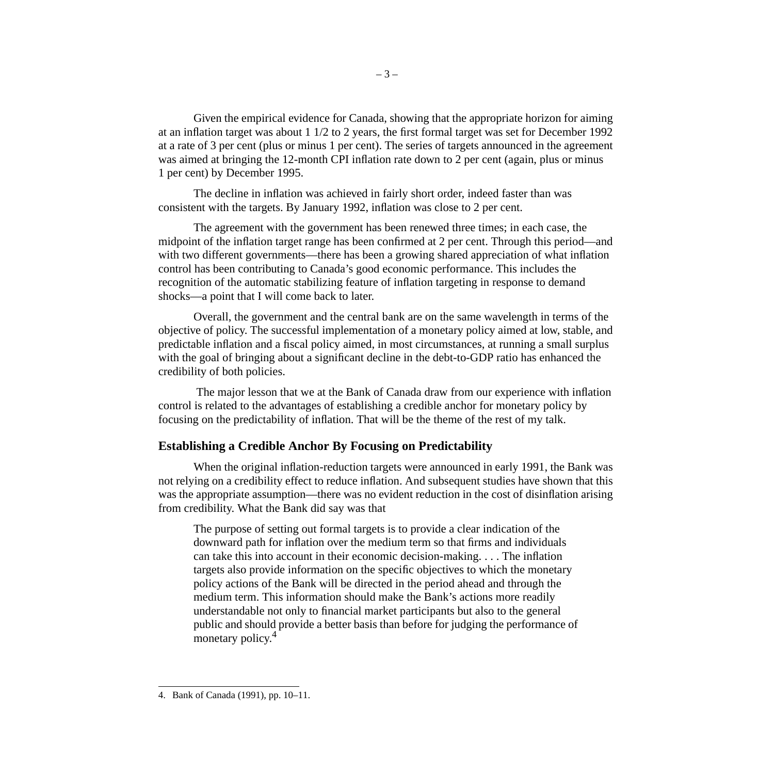Given the empirical evidence for Canada, showing that the appropriate horizon for aiming at an inflation target was about 1 1/2 to 2 years, the first formal target was set for December 1992 at a rate of 3 per cent (plus or minus 1 per cent). The series of targets announced in the agreement was aimed at bringing the 12-month CPI inflation rate down to 2 per cent (again, plus or minus 1 per cent) by December 1995.

The decline in inflation was achieved in fairly short order, indeed faster than was consistent with the targets. By January 1992, inflation was close to 2 per cent.

The agreement with the government has been renewed three times; in each case, the midpoint of the inflation target range has been confirmed at 2 per cent. Through this period—and with two different governments—there has been a growing shared appreciation of what inflation control has been contributing to Canada's good economic performance. This includes the recognition of the automatic stabilizing feature of inflation targeting in response to demand shocks—a point that I will come back to later.

Overall, the government and the central bank are on the same wavelength in terms of the objective of policy. The successful implementation of a monetary policy aimed at low, stable, and predictable inflation and a fiscal policy aimed, in most circumstances, at running a small surplus with the goal of bringing about a significant decline in the debt-to-GDP ratio has enhanced the credibility of both policies.

 The major lesson that we at the Bank of Canada draw from our experience with inflation control is related to the advantages of establishing a credible anchor for monetary policy by focusing on the predictability of inflation. That will be the theme of the rest of my talk.

## **Establishing a Credible Anchor By Focusing on Predictability**

When the original inflation-reduction targets were announced in early 1991, the Bank was not relying on a credibility effect to reduce inflation. And subsequent studies have shown that this was the appropriate assumption—there was no evident reduction in the cost of disinflation arising from credibility. What the Bank did say was that

The purpose of setting out formal targets is to provide a clear indication of the downward path for inflation over the medium term so that firms and individuals can take this into account in their economic decision-making. . . . The inflation targets also provide information on the specific objectives to which the monetary policy actions of the Bank will be directed in the period ahead and through the medium term. This information should make the Bank's actions more readily understandable not only to financial market participants but also to the general public and should provide a better basis than before for judging the performance of monetary policy.<sup>4</sup>

<sup>4.</sup> Bank of Canada (1991), pp. 10–11.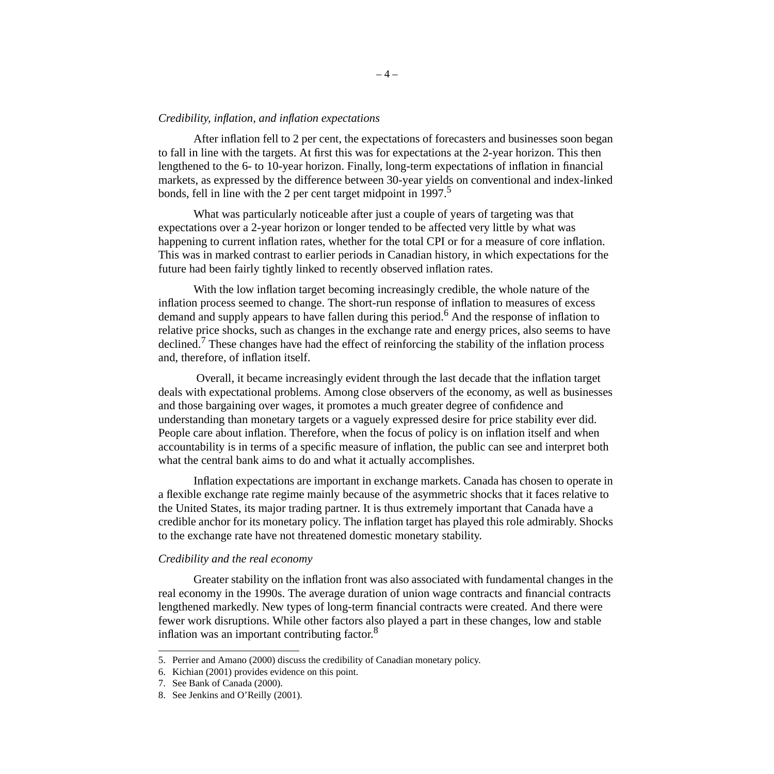#### *Credibility, inflation, and inflation expectations*

After inflation fell to 2 per cent, the expectations of forecasters and businesses soon began to fall in line with the targets. At first this was for expectations at the 2-year horizon. This then lengthened to the 6- to 10-year horizon. Finally, long-term expectations of inflation in financial markets, as expressed by the difference between 30-year yields on conventional and index-linked bonds, fell in line with the 2 per cent target midpoint in 1997.<sup>5</sup>

What was particularly noticeable after just a couple of years of targeting was that expectations over a 2-year horizon or longer tended to be affected very little by what was happening to current inflation rates, whether for the total CPI or for a measure of core inflation. This was in marked contrast to earlier periods in Canadian history, in which expectations for the future had been fairly tightly linked to recently observed inflation rates.

With the low inflation target becoming increasingly credible, the whole nature of the inflation process seemed to change. The short-run response of inflation to measures of excess demand and supply appears to have fallen during this period.<sup>6</sup> And the response of inflation to relative price shocks, such as changes in the exchange rate and energy prices, also seems to have declined.<sup>7</sup> These changes have had the effect of reinforcing the stability of the inflation process and, therefore, of inflation itself.

 Overall, it became increasingly evident through the last decade that the inflation target deals with expectational problems. Among close observers of the economy, as well as businesses and those bargaining over wages, it promotes a much greater degree of confidence and understanding than monetary targets or a vaguely expressed desire for price stability ever did. People care about inflation. Therefore, when the focus of policy is on inflation itself and when accountability is in terms of a specific measure of inflation, the public can see and interpret both what the central bank aims to do and what it actually accomplishes.

Inflation expectations are important in exchange markets. Canada has chosen to operate in a flexible exchange rate regime mainly because of the asymmetric shocks that it faces relative to the United States, its major trading partner. It is thus extremely important that Canada have a credible anchor for its monetary policy. The inflation target has played this role admirably. Shocks to the exchange rate have not threatened domestic monetary stability.

#### *Credibility and the real economy*

Greater stability on the inflation front was also associated with fundamental changes in the real economy in the 1990s. The average duration of union wage contracts and financial contracts lengthened markedly. New types of long-term financial contracts were created. And there were fewer work disruptions. While other factors also played a part in these changes, low and stable inflation was an important contributing factor.<sup>8</sup>

<sup>5.</sup> Perrier and Amano (2000) discuss the credibility of Canadian monetary policy.

<sup>6.</sup> Kichian (2001) provides evidence on this point.

<sup>7.</sup> See Bank of Canada (2000).

<sup>8.</sup> See Jenkins and O'Reilly (2001).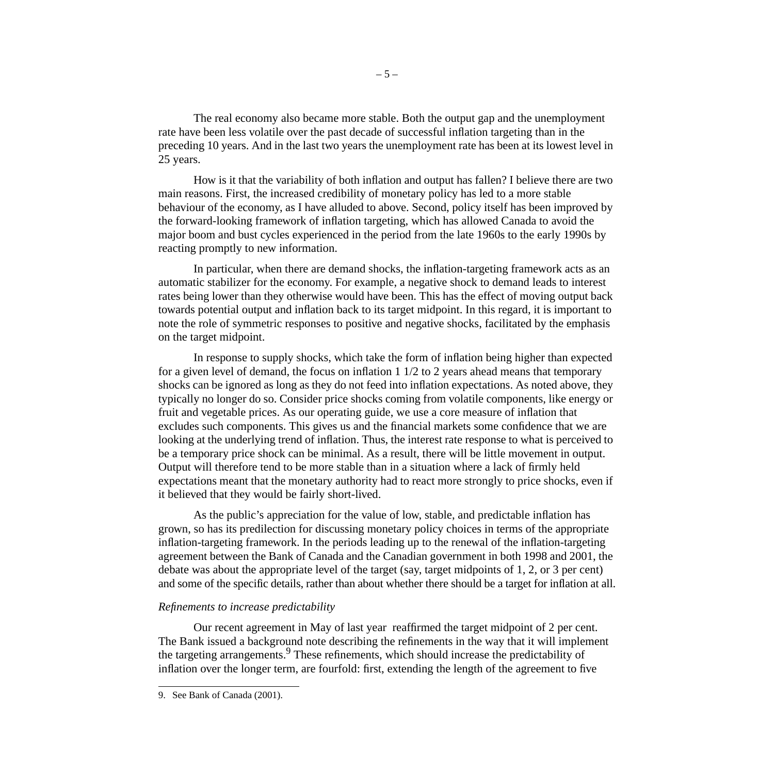The real economy also became more stable. Both the output gap and the unemployment rate have been less volatile over the past decade of successful inflation targeting than in the preceding 10 years. And in the last two years the unemployment rate has been at its lowest level in 25 years.

How is it that the variability of both inflation and output has fallen? I believe there are two main reasons. First, the increased credibility of monetary policy has led to a more stable behaviour of the economy, as I have alluded to above. Second, policy itself has been improved by the forward-looking framework of inflation targeting, which has allowed Canada to avoid the major boom and bust cycles experienced in the period from the late 1960s to the early 1990s by reacting promptly to new information.

In particular, when there are demand shocks, the inflation-targeting framework acts as an automatic stabilizer for the economy. For example, a negative shock to demand leads to interest rates being lower than they otherwise would have been. This has the effect of moving output back towards potential output and inflation back to its target midpoint. In this regard, it is important to note the role of symmetric responses to positive and negative shocks, facilitated by the emphasis on the target midpoint.

In response to supply shocks, which take the form of inflation being higher than expected for a given level of demand, the focus on inflation 1 1/2 to 2 years ahead means that temporary shocks can be ignored as long as they do not feed into inflation expectations. As noted above, they typically no longer do so. Consider price shocks coming from volatile components, like energy or fruit and vegetable prices. As our operating guide, we use a core measure of inflation that excludes such components. This gives us and the financial markets some confidence that we are looking at the underlying trend of inflation. Thus, the interest rate response to what is perceived to be a temporary price shock can be minimal. As a result, there will be little movement in output. Output will therefore tend to be more stable than in a situation where a lack of firmly held expectations meant that the monetary authority had to react more strongly to price shocks, even if it believed that they would be fairly short-lived.

As the public's appreciation for the value of low, stable, and predictable inflation has grown, so has its predilection for discussing monetary policy choices in terms of the appropriate inflation-targeting framework. In the periods leading up to the renewal of the inflation-targeting agreement between the Bank of Canada and the Canadian government in both 1998 and 2001, the debate was about the appropriate level of the target (say, target midpoints of 1, 2, or 3 per cent) and some of the specific details, rather than about whether there should be a target for inflation at all.

### *Refinements to increase predictability*

Our recent agreement in May of last year reaffirmed the target midpoint of 2 per cent. The Bank issued a background note describing the refinements in the way that it will implement the targeting arrangements.<sup>9</sup> These refinements, which should increase the predictability of inflation over the longer term, are fourfold: first, extending the length of the agreement to five

<sup>9.</sup> See Bank of Canada (2001).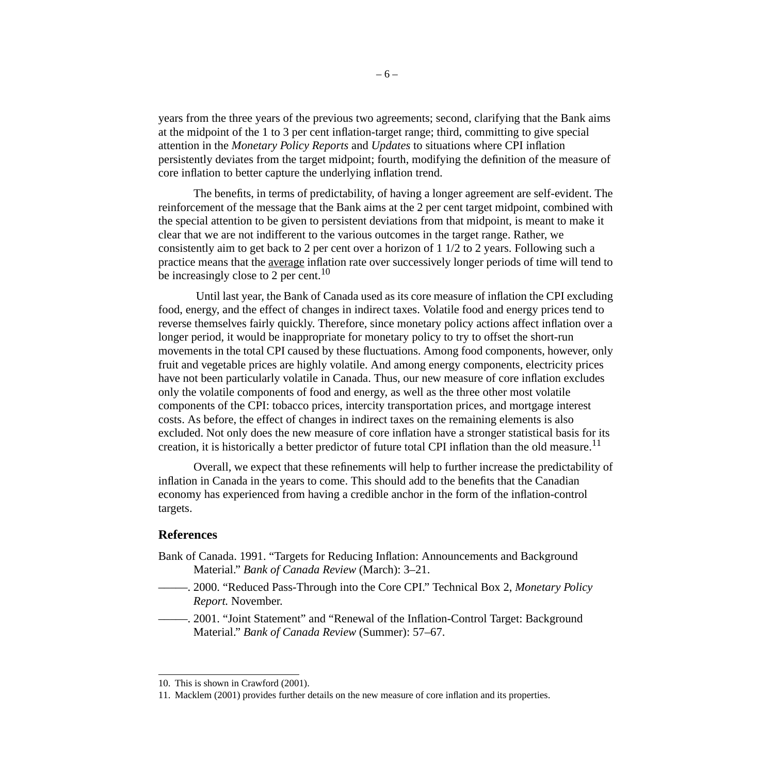years from the three years of the previous two agreements; second, clarifying that the Bank aims at the midpoint of the 1 to 3 per cent inflation-target range; third, committing to give special attention in the *Monetary Policy Reports* and *Updates* to situations where CPI inflation persistently deviates from the target midpoint; fourth, modifying the definition of the measure of core inflation to better capture the underlying inflation trend.

The benefits, in terms of predictability, of having a longer agreement are self-evident. The reinforcement of the message that the Bank aims at the 2 per cent target midpoint, combined with the special attention to be given to persistent deviations from that midpoint, is meant to make it clear that we are not indifferent to the various outcomes in the target range. Rather, we consistently aim to get back to 2 per cent over a horizon of 1 1/2 to 2 years. Following such a practice means that the average inflation rate over successively longer periods of time will tend to be increasingly close to 2 per cent.<sup>10</sup>

Until last year, the Bank of Canada used as its core measure of inflation the CPI excluding food, energy, and the effect of changes in indirect taxes. Volatile food and energy prices tend to reverse themselves fairly quickly. Therefore, since monetary policy actions affect inflation over a longer period, it would be inappropriate for monetary policy to try to offset the short-run movements in the total CPI caused by these fluctuations. Among food components, however, only fruit and vegetable prices are highly volatile. And among energy components, electricity prices have not been particularly volatile in Canada. Thus, our new measure of core inflation excludes only the volatile components of food and energy, as well as the three other most volatile components of the CPI: tobacco prices, intercity transportation prices, and mortgage interest costs. As before, the effect of changes in indirect taxes on the remaining elements is also excluded. Not only does the new measure of core inflation have a stronger statistical basis for its creation, it is historically a better predictor of future total CPI inflation than the old measure.<sup>11</sup>

Overall, we expect that these refinements will help to further increase the predictability of inflation in Canada in the years to come. This should add to the benefits that the Canadian economy has experienced from having a credible anchor in the form of the inflation-control targets.

### **References**

- Bank of Canada. 1991. "Targets for Reducing Inflation: Announcements and Background Material." *Bank of Canada Review* (March): 3–21.
- –––––. 2000. "Reduced Pass-Through into the Core CPI." Technical Box 2, *Monetary Policy Report.* November.
- –––––. 2001. "Joint Statement" and "Renewal of the Inflation-Control Target: Background Material." *Bank of Canada Review* (Summer): 57–67.

<sup>10.</sup> This is shown in Crawford (2001).

<sup>11.</sup> Macklem (2001) provides further details on the new measure of core inflation and its properties.